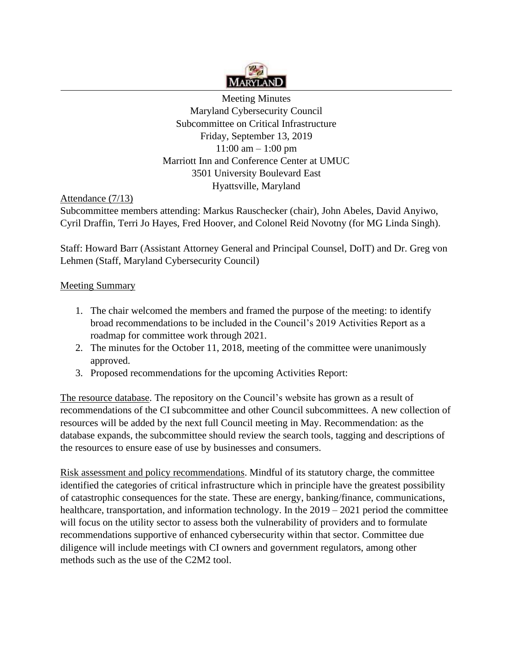

Meeting Minutes Maryland Cybersecurity Council Subcommittee on Critical Infrastructure Friday, September 13, 2019 11:00 am – 1:00 pm Marriott Inn and Conference Center at UMUC 3501 University Boulevard East Hyattsville, Maryland

Attendance (7/13)

Subcommittee members attending: Markus Rauschecker (chair), John Abeles, David Anyiwo, Cyril Draffin, Terri Jo Hayes, Fred Hoover, and Colonel Reid Novotny (for MG Linda Singh).

Staff: Howard Barr (Assistant Attorney General and Principal Counsel, DoIT) and Dr. Greg von Lehmen (Staff, Maryland Cybersecurity Council)

## Meeting Summary

- 1. The chair welcomed the members and framed the purpose of the meeting: to identify broad recommendations to be included in the Council's 2019 Activities Report as a roadmap for committee work through 2021.
- 2. The minutes for the October 11, 2018, meeting of the committee were unanimously approved.
- 3. Proposed recommendations for the upcoming Activities Report:

The resource database. The repository on the Council's website has grown as a result of recommendations of the CI subcommittee and other Council subcommittees. A new collection of resources will be added by the next full Council meeting in May. Recommendation: as the database expands, the subcommittee should review the search tools, tagging and descriptions of the resources to ensure ease of use by businesses and consumers.

Risk assessment and policy recommendations. Mindful of its statutory charge, the committee identified the categories of critical infrastructure which in principle have the greatest possibility of catastrophic consequences for the state. These are energy, banking/finance, communications, healthcare, transportation, and information technology. In the 2019 – 2021 period the committee will focus on the utility sector to assess both the vulnerability of providers and to formulate recommendations supportive of enhanced cybersecurity within that sector. Committee due diligence will include meetings with CI owners and government regulators, among other methods such as the use of the C2M2 tool.